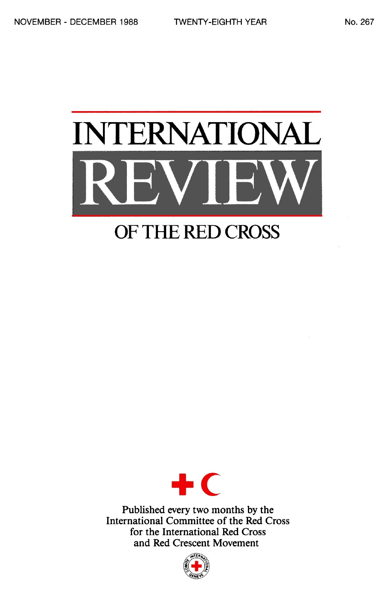# INTERNATIONAL REVIEW

# OF THE RED CROSS



Published every two months by the International Committee of the Red Cross for the International Red Cross and Red Crescent Movement

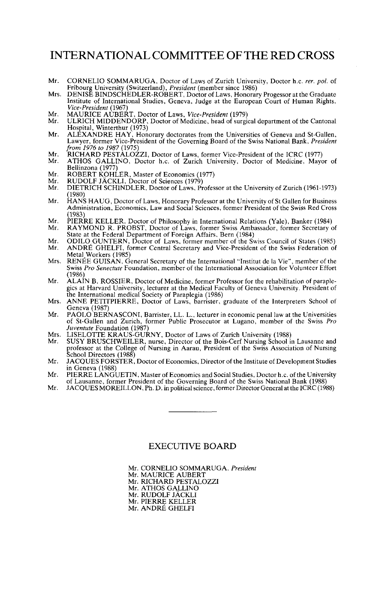# INTERNATIONAL COMMITTEE OF THE RED CROSS

- Mr. CORNELIO SOMMARUGA, Doctor of Laws of Zurich University, Doctor h.c. *rer. pot.* of
- Fribourg University (Switzerland), President (member since 1986)<br>Mrs. DENISE BINDSCHEDLER-ROBERT, Doctor of Laws, Honorary Progessor at the Graduate<br>Institute of International Studies, Geneva, Judge at the European Court o
- 
- Mr. MAURICE AUBERT, Doctor of Laws, *Vice-President* (1979) Mr. ULRICH MIDDENDORP, Doctor of Medicine, head of surgical department of the Cantonal Hospital, Winterthur (1973)
- Mr. ALEXANDRE HAY, Honorary doctorates from the Universities of Geneva and St-Gallen, Lawyer, former Vice-President of the Governing Board of the Swiss National Bank, *President from 1976 to 1987* (1975)
- Mr. RICHARD PESTALOZZI, Doctor of Laws, former Vice-President of the ICRC (1977)<br>Mr. ATHOS GALLINO, Doctor h c. of Zurich University, Doctor of Medicine, May
- Mr. ATHOS GALLINO, Doctor h.c. of Zurich University, Doctor of Medicine, Mayor of Bellinzona (1977)
- Mr. ROBERT KOHLER, Master of Economics (1977)<br>Mr. RUDOLF JÄCKLL Doctor of Sciences (1979)
- Mr. RUDOLF JÄCKLI, Doctor of Sciences (1979)<br>Mr. DIETRICH SCHINDLER, Doctor of Laws, Pr
- DIETRICH SCHINDLER, Doctor of Laws, Professor at the University of Zurich (1961-1973) (1980)
- Mr. HANS HAUG, Doctor of Laws, Honorary Professor at the University of St Gallen for Business<br>Administration, Economics, Law and Social Sciences, former President of the Swiss Red Cross<br>(1983)<br>Mr. PIERRE KELLER Doctor of P
- Mr. PIERRE KELLER, Doctor of Philosophy in International Relations (Yale), Banker (1984)<br>Mr. RAYMOND R. PROBST, Doctor of Laws, former Swiss Ambassador, former Secretary o
- RAYMOND R. PROBST, Doctor of Laws, former Swiss Ambassador, former Secretary of State at the Federal Department of Foreign Affairs, Bern (1984)
- Mr. ODILO GUNTERN, Doctor of Laws, former member of the Swiss Council of States (1985)<br>Mr. ANDRÉ GHELEL former Central Secretary and Vice-President of the Swiss Eederation of ANDRÉ GHELFI, former Central Secretary and Vice-President of the Swiss Federation of
- Metal Workers (1985)<br>RENÉE GUISAN, General Secretary of the International "Institut de la Vie", member of the Mrs. RENEE GUISAN, General Secretary of the International "Institut de la Vie", member of the Swiss *Pro Senectute* Foundation, member of the International Association for Volunteer Effort (1986)<br>ALAIN B. ROSSIER, Doctor of Medicine, former Professor for the rehabilitation of paraple-
- Mr. ALAIN B. ROSSIER, Doctor of Medicine, former Professor for the rehabilitation of paraplegics at Harvard University, lecturer at the Medical Faculty of Geneva University. President of the International medical Society o
- Mrs. ANNE PETITPIERRE, Doctor of Laws, barrister, graduate of the Interpreters School of Geneva (1987)
- Mr. PAOLO BERNASCONI, Barrister, LL. L., lecturer in economic penal law at the Universities of St-Gallen and Zurich, former Public Prosecutor at Lugano, member of the Swiss *Pro Juventute* Foundation (1987)
- Mrs. LISELOTTE KRAUS-GURNY, Doctor of Laws of Zurich University (1988)<br>Mr. SUSY BRUSCHWEILER, purse, Director of the Bois-Cerf Nursing School
- Mr. SUSY BRUSCHWEILER, nurse, Director of the Bois-Cerf Nursing School in Lausanne and professor at the College of Nursing in Aarau, President of the Swiss Association of Nursing School Directors (1988)
- School Directors (1988)<br>Mr. JACQUES FORSTER, Doctor of Economics, Director of the Institute of Development Studies<br>In Geneva (1988)<br>Mr. PIERRE LANGUETIN, Master of Economics and Social Studies, Doctor h.c. of the Universit
- 
- of Lausanne, former President of the Governing Board of the Swiss National Bank (1988)<br>Mr. JACOUESMOREJLJ, ON, Ph. D. in political science, former Director General at the ICRC (198 JACQUES MOREILLON, Ph. D. in political science, former Director General at the ICRC (1988)

#### EXECUTIVE BOARD

Mr. CORNELIO SOMMARUGA, *President*

Mr. MAURICE AUBERT Mr. RICHARD PESTALOZZI

Mr. ATHOS GALLINO

Mr. RUDOLF JACKLI

Mr. PIERRE KELLER

Mr. ANDRE GHELFI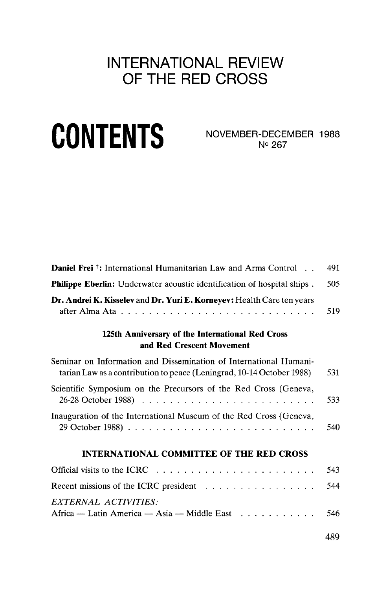# INTERNATIONAL REVIEW OF THE RED CROSS

# CONTENTS NOVEMBER-DECEMBER 1988

N°267

| <b>Daniel Frei</b> <sup>†</sup> : International Humanitarian Law and Arms Control                                                          | 491 |
|--------------------------------------------------------------------------------------------------------------------------------------------|-----|
| <b>Philippe Eberlin:</b> Underwater acoustic identification of hospital ships.                                                             | 505 |
| Dr. Andrei K. Kisselev and Dr. Yuri E. Korneyev: Health Care ten years                                                                     | 519 |
| 125th Anniversary of the International Red Cross<br>and Red Crescent Movement                                                              |     |
| Seminar on Information and Dissemination of International Humani-<br>tarian Law as a contribution to peace (Leningrad, 10-14 October 1988) | 531 |
| Scientific Symposium on the Precursors of the Red Cross (Geneva,                                                                           | 533 |
| Inauguration of the International Museum of the Red Cross (Geneva,                                                                         | 540 |
| <b>INTERNATIONAL COMMITTEE OF THE RED CROSS</b>                                                                                            |     |
|                                                                                                                                            | 543 |
| Recent missions of the ICRC president $\dots \dots \dots \dots \dots \dots$                                                                | 544 |
| EXTERNAL ACTIVITIES:<br>Africa — Latin America — Asia — Middle East                                                                        | 546 |